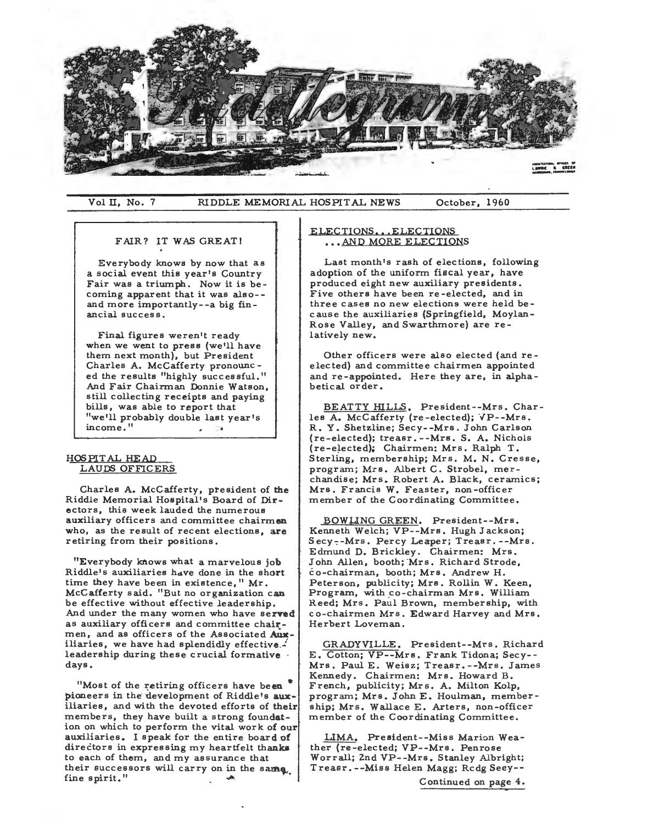

Vol II, No. 7 RIDDLE MEMORIAL HOSPITAL NEWS October, 1960

### FAIR? IT WAS GREAT!

Everybody knows by now that as a social event this year's Country Fair was a triumph. Now it is becoming apparent that it was also- and more importantly--a big financial success.

Final figures weren't ready when we went to press (we'll have them next month), but President Charles A. Mccafferty pronounc ed the results "highly successful." And Fair Chairman Donnie Watson, still collecting receipts and paying bills, was able to report that "we'll probably double last year's income."

## HOS PIT AL HEAD LAUDS OFFICERS

Charles A. McCafferty, president of the Riddle Memorial Hospital's Board of Directors, this week lauded the numerous auxiliary officers and committee chairmen who, as the result of recent elections, are retiring from their positions.

"Everybody knows what a marvelous job Riddle's auxiliaries have done in the short time they have been in existence, "Mr. McCafferty said. "But no organization can be effective without effective leadership. And under the many women who have served as auxiliary officers and committee chairmen, and as officers of the Associated Auxiliaries, we have had splendidly effective. leadership during these crucial formative days.

"Most of the retiring officers have been pioneers in the development of Riddle's auxiliaries, and with the devoted efforts of their members, they have built a strong foundation on which to perform the vital work of our auxiliaries. I speak for the entire board of directors in expressing my heartfelt thanks to each of them, and my assurance that their successors will carry on in the same. fine spirit."

# ELECTIONS... ELECTIONS ... AND MORE ELECTIONS

Last month's rash of elections, following adoption of the uniform fiscal year, have produced eight new auxiliary presidents. Five others have been re-elected, and in three cases no new elections were held because the auxiliaries (Springfield, Moylan-Rose Valley, and Swarthmore) are relatively new.

Other officers were also elected (and reelected) and committee chairmen appointed and re-appointed. Here they are, in alphabetical order.

BEATTY HILLS. President--Mrs. Charles A. McCafferty (re-elected); VP--Mrs. R. Y. Shetzline; Secy--Mrs. John Carlson (re-elected); treasr. --Mrs. S. A. Nichols (re-elected); Chairmen: Mrs. Ralph T. Sterling, membership; Mrs. M. N. Cresse, program; Mrs. Albert C. Strobel, merchandise; Mrs. Robert A. Black, ceramics; Mrs. Francis W. Feaster, non-officer member of the Coordinating Committee.

BOWUNG GREEN. President--Mrs. Kenneth Welch; VP--Mrs. Hugh Jackson; Secy--Mrs. Percy Leaper; Treasr.--Mrs. Edmund D. Brickley. Chairmen: Mrs. John Allen, booth; Mrs. Richard Strode, co-chairman, booth; Mrs. Andrew H. Peterson, publicity; Mrs. Rollin W. Keen, Program, with \_co-chairman Mrs. William Reed; Mrs. Paul Brown, membership, with co-chairmen Mrs. Edward Harvey and Mrs. Herbert Loveman.

GRADYVILLE. President--Mrs. Richard E. Cotton; VP--Mrs. Frank Tidona; Secy- - Mrs. Paul E. Weisz; Treasr. --Mrs. James Kennedy. Chairmen: Mrs. Howard B. French, publicity; Mrs. A. Milton Kolp, program; Mrs. John E. Houlman, membership; Mrs. Wallace E. Arters, non-officer member of the Coordinating Committee.

LIMA. President--Miss Marion Weather (re-elected; VP--Mrs. Penrose Worrall; 2nd VP--Mrs. Stanley Albright; Treasr. --Miss Helen Magg; Rcdg Seey--

Continued on page 4.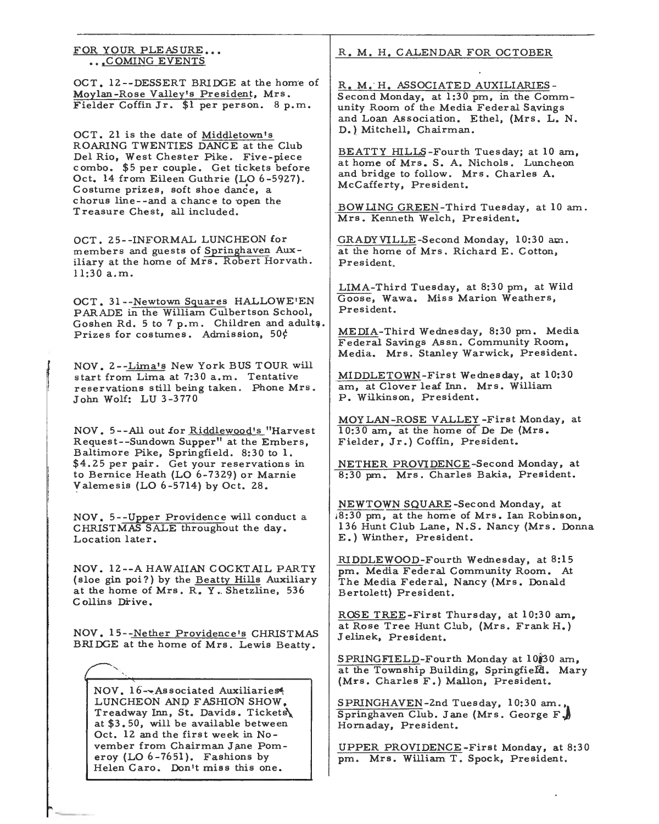FOR YOUR PLEASURE,,. ... COMING EVENTS

OCT. 12--DESSERT BRIDGE at the home of Moylan-Rose Valley's President, Mrs. Fielder Coffin Jr. \$1 per person. 8 p.m.

OCT. 21 is the date of Middletown's ROARING TWENTIES DANCE at the Club Del Rio, West Chester Pike. Five-piece combo. \$5 per couple. Get tickets before Oct. 14 from Eileen Guthrie (LO 6-5927). Costume prizes, soft shoe dance, a chorus line--and a chance to ·open the Treasure Chest, all included.

OCT. 25--INFORMAL LUNCHEON for members and guests of Springhaven Auxiliary at the home of Mrs. Robert Horvath. 11:30 a.m.

OCT. 31--Newtown Squares HALLOWE'EN PARADE in the William Culbertson School, Goshen Rd. 5 to 7 p.m. Children and adults. Prizes for costumes. Admission,  $50\frac{1}{5}$ 

NOV. 2--Lima's New York BUS TOUR will start from Lima at 7:30 a.m. Tentative reservations still being taken. Phone Mrs. John Wolf: LU 3-3770

NOV. 5--All out for Riddlewood's "Harvest Request--Sundown Supper" at the Embers, Baltimore Pike, Springfield. 8:30 to 1. \$4.25 per pair. Get your reservations in to Bernice Heath (LO 6-7329) or Marnie Valemesis (LO 6-5714) by Oct. 28.

NOV, 5--Upper Providence will conduct a CHRISTMAS SALE throughout the day. Location later.

NOV. 12--A HAWAIIAN COCKTAIL PARTY ( sloe gin poi?) by the Beatty Hills Auxiliary at the home of Mrs. R. Y. Shetzline, 536 Collins Drive.

NOV. 15--Nether Providence's CHRISTMAS BRIDGE at the home of Mrs. Lewis Beatty.

NOV. 16--Associated Auxiliaries. LUNCHEON AND FASHION SHOW, Treadway Inn, St. Davids. Tickets at \$3.50, will be available between Oct. 12 and the first week in November from Chairman Jane Pomeroy (LO 6-7651). Fashions by Helen Caro. Don't miss this one.

R, M. H. CALENDAR FOR OCTOBER

R. M, H. ASSOCIATED AUXILIARIES - Second Monday, at 1:30 pm, in the Community Room of the Media Federal Savings and Loan Association. Ethel, (Mrs. L. N. D.) Mitchell, Chairman.

BEATTY HILLS-Fourth Tues day; at 10 am, at home of Mrs. S. A. Nichols. Luncheon and bridge to follow. Mrs. Charles A. McCafferty, President.

BOWLING GREEN-Third Tuesday, at 10 am. Mrs. Kenneth Welch, President.

GRADYVILLE-Second Monday, 10:30 am. at the home of Mrs. Richard E. Cotton, President,

LIMA-Third Tuesday, at 8:30 pm, at Wild Goose, Wawa. Miss Marion Weathers, President.

MEDIA-Third Wednesday, 8:30 pm. Media Federal Savings Assn. Community Room, Media. Mrs. Stanley Warwick, President.

MIDDLETOWN-First Wednesday, at 10:30 am, at Clover leaf Inn. Mrs. William P. Wilkinson, President.

MOY LAN-ROSE VALLEY -First Monday, at 10:30 am, at the home of De De (Mrs. Fielder, Jr.) Coffin, President.

NETHER PROVIDENCE-Second Monday, at 8:30 pm. Mrs. Charles Bakia, President.

NEWTOWN SQUARE-Second Monday, at ,8:30 pm, at the home of Mrs. Ian Robinson, 136 Hunt Club Lane, N .S. Nancy (Mrs. Donna E.) Winther, President.

RIDDLEWOOD-Fourth Wednesday, at 8:15 pm. Media Federal Community Room. At The Media Federal, Nancy (Mrs. Donald Bertolett) President.

ROSE TREE-First Thursday, at 10:30 am, at Rose Tree Hunt Club, (Mrs. Frank H.) Jelinek, President.

SPRINGFIELD-Fourth Monday at **10J30** am, at the Township Building, Springfield. Mary (Mrs. Charles F.) Mallon, President.

SPRINGHAVEN-Znd Tuesday, 10:30 am., Springhaven Club. Jane (Mrs. George F. Hornaday, President.

UPPER PROVIDENCE-First Monday, at 8:30 pm. Mrs. William T. Spock, President.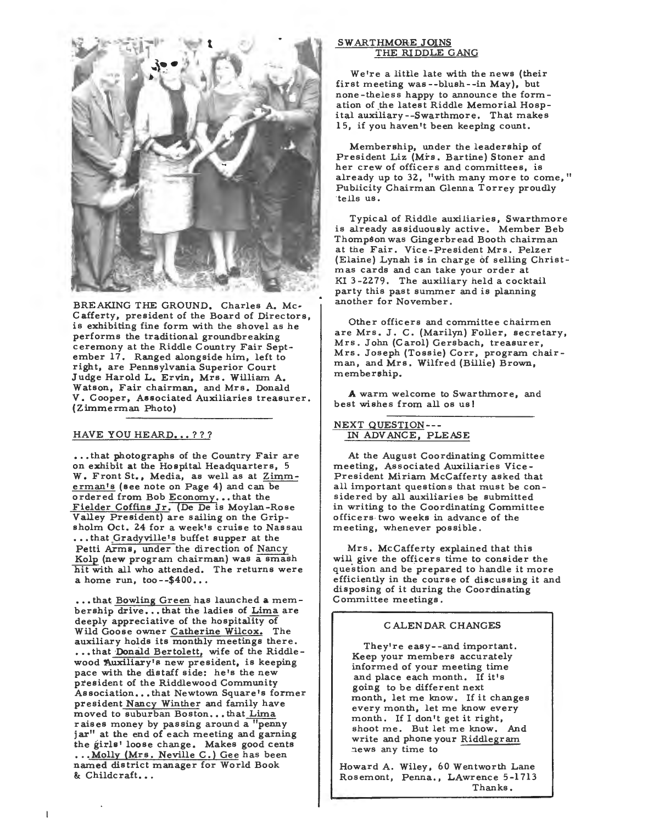

BREAKING THE GROUND. Charles A. Mc-G afferty, president of the Board of Directors, is exhibiting fine form with the shovel as he performs the traditional groundbreaking ceremony at the Riddle Country Fair September 17. Ranged alongside him, left to right, are Pennsylvania Superior Court Judge Harold L. Ervin, Mrs. William A. Watson, Fair chairman, and Mrs. Donald V. Cooper, Associated Auxiliaries treasurer. (Zimmerman Photo)

## HAVE YOU HEARD...???

•.. that photographs of the Country Fair are on exhibit at the Hospital Headquarters, 5 W. Front St., Media, as well as at Zimmerman's (see note on Page 4) and can be ordered from Bob Economy... that the Fielder Coffins Jr. (De De is Moylan-Rose Valley President) are sailing on the Gripsholm Oct. 24 for a week's cruise to Nassau • • . that\_Gradyville <sup>1</sup> s buffet supper at the Petti Arms, under the direction of Nancy Kolp (new program chairman) was a smash hit with all who attended. The returns were a home run, too- $-400...$ 

• . • that Bowling Green has launched a membership drive... that the ladies of Lima are deeply appreciative of the hospitality of Wild Goose owner Catherine Wilcox. The auxiliary holds its monthly meetings there. ..• that Donald Bertolett, wife of the Riddle wood Auxiliary's new president, is keeping pace with the distaff side: he's the new president of the Riddlewood Community Association... that Newtown Square's former president Nancy Winther and family have moved to suburban Boston...that Lima raises money by passing around a "penny jar" at the end of each meeting and garning the girls' loose change. Makes good cents ... Molly (Mrs. Neville C.) Gee has been named district manager for World Book & Childcraft...

 $\mathbf l$ 

#### SWARTHMORE JOINS THE RIDDLE GANG

We're a little late with the news (their first meeting was --blush--in May), but none-theless happy to announce the formation of the latest Riddle Memorial Hospital auxiliary--Swarthmore, That makes 15, if you haven't been keeping count.

Membership, under the leadership of President Liz (Mrs. Bartine) Stoner and her crew of officers and committees, is already up to 32, "with many more to come," Publicity Chairman Glenna Torrey proudly tells us.

Typical of Riddle auxiliaries, Swarthmore is already assiduously active. Member Beb Thompson was Gingerbread Booth chairman at the Fair. Vice-President Mrs. Pelzer (Elaine) Lynah is in charge of selling Christmas cards and can take your order at KI 3-2279. The auxiliary held a cocktail party this past summer and is planning another for November.

Other officers and committee chairmen are Mrs. J. G. (Marilyn) Foller, secretary, Mrs. John (G arol) Gersbach, treasurer, Mrs. Joseph (Tossie) Gorr, program chairman, and Mrs. Wilfred (Billie) Brown, membership.

A warm welcome to Swarthmore, and best wishes from all os us!

## NEXT QUESTION--- IN ADV ANGE, PLEASE

At the August Coordinating Committee meeting, Associated Auxiliaries Vice-President Miriam McGafferty asked that all important questions that must be considered by all auxiliaries be submitted in writing to the Coordinating Committee officers two weeks in advance of the meeting, whenever possible .

Mrs. McGafferty explained that this will give the officers time to consider the question and be prepared to handle it more efficiently in the course of discussing it and disposing of it during the Coordinating G ommittee meetings .

#### CALENDAR CHANGES

They're easy- -and important. Keep your members accurately informed of your meeting time and place each month. If it's going to be different next month, let me know. If it changes every month, let me know every month. If I don't get it right, shoot me. But let me know. And write and phone your Riddlegram news any time to

Howard A. Wiley, 60 Wentworth Lane Rosemont, Penna., LAwrence 5-1713 Thanks.